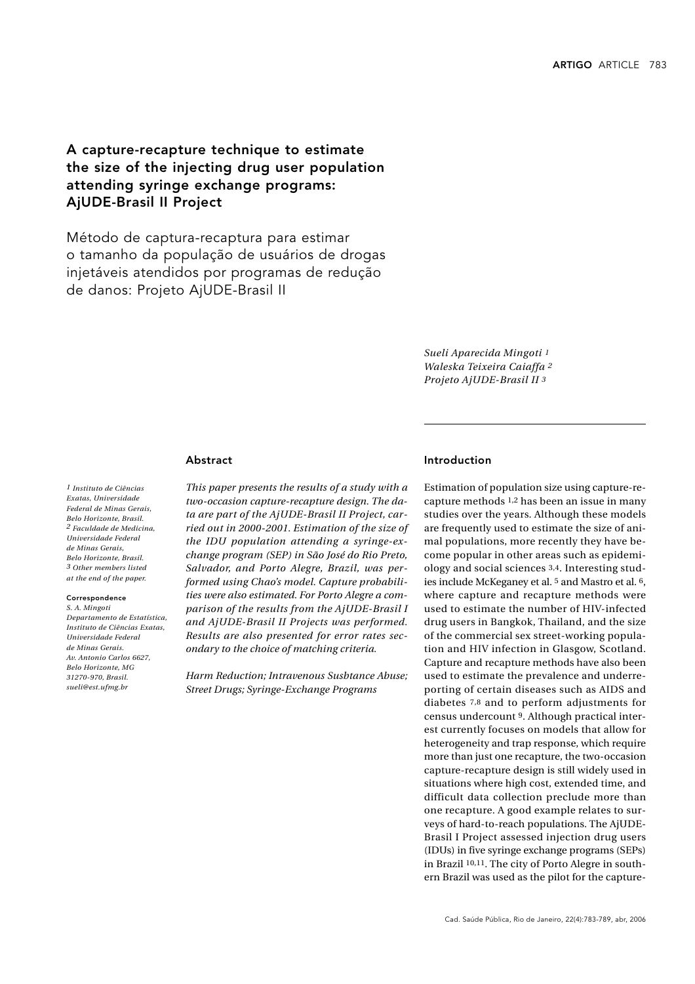# A capture-recapture technique to estimate the size of the injecting drug user population attending syringe exchange programs: AjUDE-Brasil II Project

Método de captura-recaptura para estimar o tamanho da população de usuários de drogas injetáveis atendidos por programas de redução de danos: Projeto AjUDE-Brasil II

> *Sueli Aparecida Mingoti 1 Waleska Teixeira Caiaffa 2 Projeto AjUDE-Brasil II 3*

## Abstract

*1 Instituto de Ciências Exatas, Universidade Federal de Minas Gerais, Belo Horizonte, Brasil. 2 Faculdade de Medicina, Universidade Federal de Minas Gerais, Belo Horizonte, Brasil. 3 Other members listed at the end of the paper.*

#### Correspondence

*S. A. Mingoti Departamento de Estatística, Instituto de Ciências Exatas, Universidade Federal de Minas Gerais. Av. Antonio Carlos 6627, Belo Horizonte, MG 31270-970, Brasil. sueli@est.ufmg.br*

*This paper presents the results of a study with a two-occasion capture-recapture design. The data are part of the AjUDE-Brasil II Project, carried out in 2000-2001. Estimation of the size of the IDU population attending a syringe-exchange program (SEP) in São José do Rio Preto, Salvador, and Porto Alegre, Brazil, was performed using Chao's model. Capture probabilities were also estimated. For Porto Alegre a comparison of the results from the AjUDE-Brasil I and AjUDE-Brasil II Projects was performed. Results are also presented for error rates secondary to the choice of matching criteria.*

*Harm Reduction; Intravenous Susbtance Abuse; Street Drugs; Syringe-Exchange Programs*

# Introduction

Estimation of population size using capture-recapture methods 1,2 has been an issue in many studies over the years. Although these models are frequently used to estimate the size of animal populations, more recently they have become popular in other areas such as epidemiology and social sciences 3,4. Interesting studies include McKeganey et al. 5 and Mastro et al. 6, where capture and recapture methods were used to estimate the number of HIV-infected drug users in Bangkok, Thailand, and the size of the commercial sex street-working population and HIV infection in Glasgow, Scotland. Capture and recapture methods have also been used to estimate the prevalence and underreporting of certain diseases such as AIDS and diabetes 7,8 and to perform adjustments for census undercount 9. Although practical interest currently focuses on models that allow for heterogeneity and trap response, which require more than just one recapture, the two-occasion capture-recapture design is still widely used in situations where high cost, extended time, and difficult data collection preclude more than one recapture. A good example relates to surveys of hard-to-reach populations. The AjUDE-Brasil I Project assessed injection drug users (IDUs) in five syringe exchange programs (SEPs) in Brazil 10,11. The city of Porto Alegre in southern Brazil was used as the pilot for the capture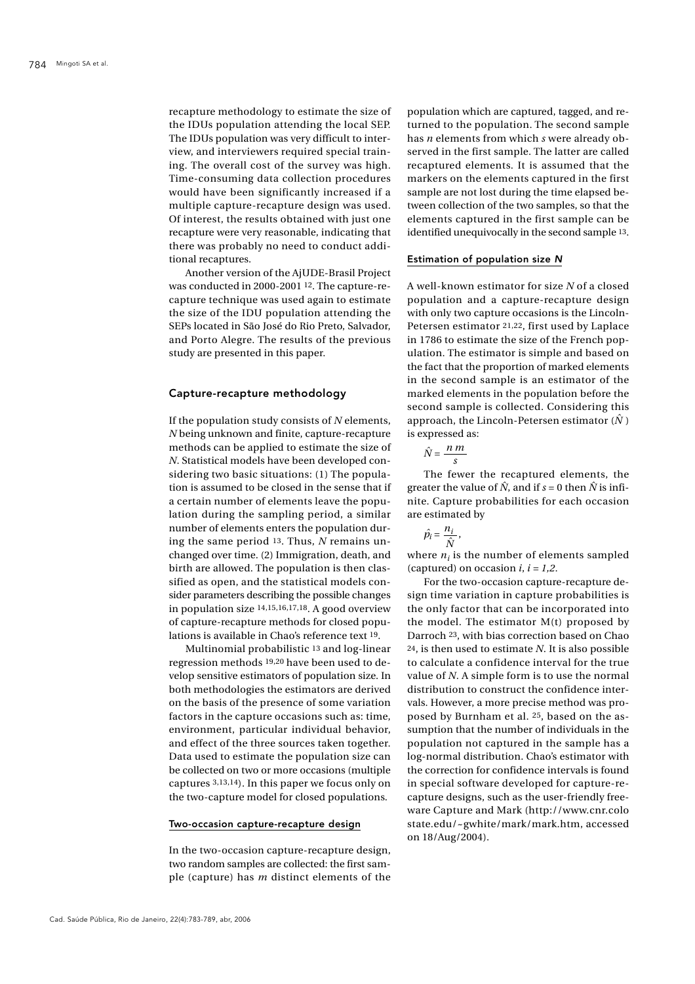recapture methodology to estimate the size of the IDUs population attending the local SEP. The IDUs population was very difficult to interview, and interviewers required special training. The overall cost of the survey was high. Time-consuming data collection procedures would have been significantly increased if a multiple capture-recapture design was used. Of interest, the results obtained with just one recapture were very reasonable, indicating that there was probably no need to conduct additional recaptures.

Another version of the AjUDE-Brasil Project was conducted in 2000-2001 12. The capture-recapture technique was used again to estimate the size of the IDU population attending the SEPs located in São José do Rio Preto, Salvador, and Porto Alegre. The results of the previous study are presented in this paper.

#### Capture-recapture methodology

If the population study consists of *N* elements, *N* being unknown and finite, capture-recapture methods can be applied to estimate the size of *N*. Statistical models have been developed considering two basic situations: (1) The population is assumed to be closed in the sense that if a certain number of elements leave the population during the sampling period, a similar number of elements enters the population during the same period 13. Thus, *N* remains unchanged over time. (2) Immigration, death, and birth are allowed. The population is then classified as open, and the statistical models consider parameters describing the possible changes in population size 14,15,16,17,18. A good overview of capture-recapture methods for closed populations is available in Chao's reference text 19.

Multinomial probabilistic 13 and log-linear regression methods 19,20 have been used to develop sensitive estimators of population size. In both methodologies the estimators are derived on the basis of the presence of some variation factors in the capture occasions such as: time, environment, particular individual behavior, and effect of the three sources taken together. Data used to estimate the population size can be collected on two or more occasions (multiple captures 3,13,14). In this paper we focus only on the two-capture model for closed populations.

# Two-occasion capture-recapture design

In the two-occasion capture-recapture design, two random samples are collected: the first sample (capture) has *m* distinct elements of the population which are captured, tagged, and returned to the population. The second sample has *n* elements from which *s* were already observed in the first sample. The latter are called recaptured elements. It is assumed that the markers on the elements captured in the first sample are not lost during the time elapsed between collection of the two samples, so that the elements captured in the first sample can be identified unequivocally in the second sample 13.

#### Estimation of population size *N*

A well-known estimator for size *N* of a closed population and a capture-recapture design with only two capture occasions is the Lincoln-Petersen estimator 21,22, first used by Laplace in 1786 to estimate the size of the French population. The estimator is simple and based on the fact that the proportion of marked elements in the second sample is an estimator of the marked elements in the population before the second sample is collected. Considering this approach, the Lincoln-Petersen estimator  $(\hat{N})$ is expressed as:

$$
\hat{N} = \frac{n \, m}{s}
$$

The fewer the recaptured elements, the greater the value of  $\hat{N}$ , and if  $s = 0$  then  $\hat{N}$  is infinite. Capture probabilities for each occasion are estimated by

$$
\hat{p_i} = \frac{n_i}{\hat{N}},
$$

where  $n_i$  is the number of elements sampled (captured) on occasion  $i$ ,  $i = 1,2$ .

For the two-occasion capture-recapture design time variation in capture probabilities is the only factor that can be incorporated into the model. The estimator  $M(t)$  proposed by Darroch 23, with bias correction based on Chao 24, is then used to estimate *N*. It is also possible to calculate a confidence interval for the true value of *N*. A simple form is to use the normal distribution to construct the confidence intervals. However, a more precise method was proposed by Burnham et al. 25, based on the assumption that the number of individuals in the population not captured in the sample has a log-normal distribution. Chao's estimator with the correction for confidence intervals is found in special software developed for capture-recapture designs, such as the user-friendly freeware Capture and Mark (http://www.cnr.colo state.edu/~gwhite/mark/mark.htm, accessed on 18/Aug/2004).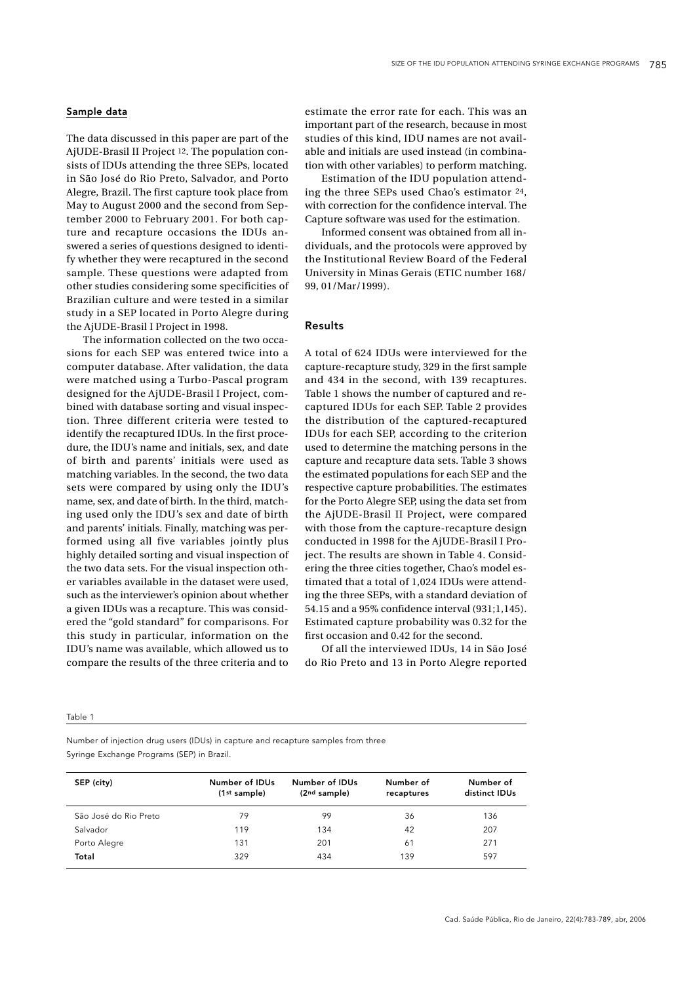# Sample data

The data discussed in this paper are part of the AjUDE-Brasil II Project 12. The population consists of IDUs attending the three SEPs, located in São José do Rio Preto, Salvador, and Porto Alegre, Brazil. The first capture took place from May to August 2000 and the second from September 2000 to February 2001. For both capture and recapture occasions the IDUs answered a series of questions designed to identify whether they were recaptured in the second sample. These questions were adapted from other studies considering some specificities of Brazilian culture and were tested in a similar study in a SEP located in Porto Alegre during the AjUDE-Brasil I Project in 1998.

The information collected on the two occasions for each SEP was entered twice into a computer database. After validation, the data were matched using a Turbo-Pascal program designed for the AjUDE-Brasil I Project, combined with database sorting and visual inspection. Three different criteria were tested to identify the recaptured IDUs. In the first procedure, the IDU's name and initials, sex, and date of birth and parents' initials were used as matching variables. In the second, the two data sets were compared by using only the IDU's name, sex, and date of birth. In the third, matching used only the IDU's sex and date of birth and parents' initials. Finally, matching was performed using all five variables jointly plus highly detailed sorting and visual inspection of the two data sets. For the visual inspection other variables available in the dataset were used, such as the interviewer's opinion about whether a given IDUs was a recapture. This was considered the "gold standard" for comparisons. For this study in particular, information on the IDU's name was available, which allowed us to compare the results of the three criteria and to estimate the error rate for each. This was an important part of the research, because in most studies of this kind, IDU names are not available and initials are used instead (in combination with other variables) to perform matching.

Estimation of the IDU population attending the three SEPs used Chao's estimator 24, with correction for the confidence interval. The Capture software was used for the estimation.

Informed consent was obtained from all individuals, and the protocols were approved by the Institutional Review Board of the Federal University in Minas Gerais (ETIC number 168/ 99, 01/Mar/1999).

# Results

A total of 624 IDUs were interviewed for the capture-recapture study, 329 in the first sample and 434 in the second, with 139 recaptures. Table 1 shows the number of captured and recaptured IDUs for each SEP. Table 2 provides the distribution of the captured-recaptured IDUs for each SEP, according to the criterion used to determine the matching persons in the capture and recapture data sets. Table 3 shows the estimated populations for each SEP and the respective capture probabilities. The estimates for the Porto Alegre SEP, using the data set from the AjUDE-Brasil II Project, were compared with those from the capture-recapture design conducted in 1998 for the AjUDE-Brasil I Project. The results are shown in Table 4. Considering the three cities together, Chao's model estimated that a total of 1,024 IDUs were attending the three SEPs, with a standard deviation of 54.15 and a 95% confidence interval (931;1,145). Estimated capture probability was 0.32 for the first occasion and 0.42 for the second.

Of all the interviewed IDUs, 14 in São José do Rio Preto and 13 in Porto Alegre reported

#### Table 1

Number of injection drug users (IDUs) in capture and recapture samples from three Syringe Exchange Programs (SEP) in Brazil.

| SEP (city)            | Number of IDUs<br>(1 <sup>st</sup> sample) | Number of IDUs<br>(2nd sample) | Number of<br>recaptures | Number of<br>distinct IDUs |
|-----------------------|--------------------------------------------|--------------------------------|-------------------------|----------------------------|
| São José do Rio Preto | 79                                         | 99                             | 36                      | 136                        |
| Salvador              | 119                                        | 134                            | 42                      | 207                        |
| Porto Alegre          | 131                                        | 201                            | 61                      | 271                        |
| Total                 | 329                                        | 434                            | 139                     | 597                        |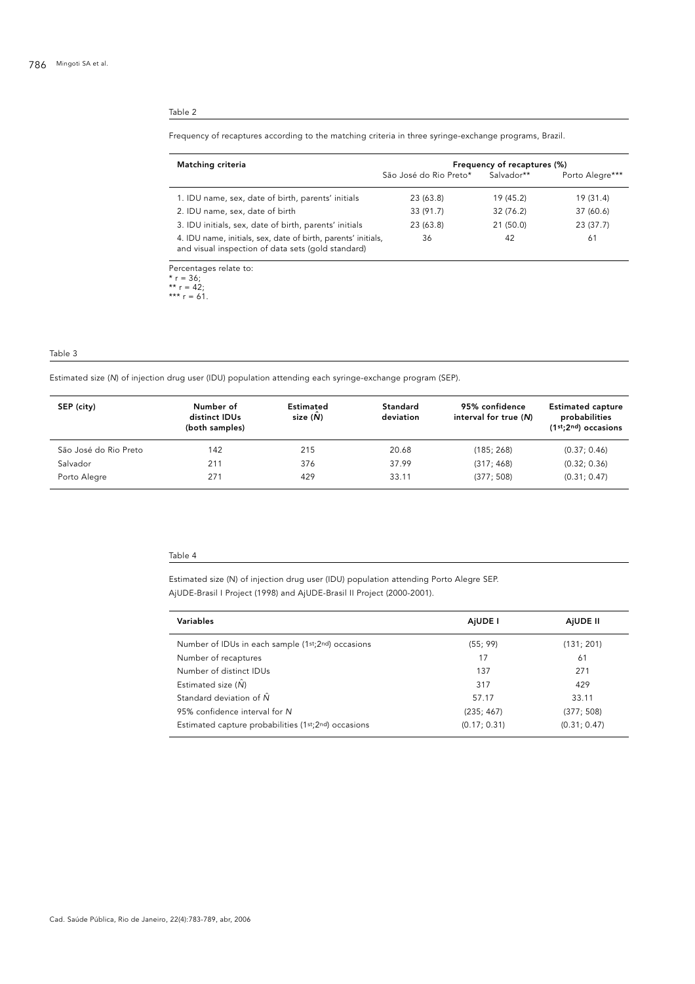#### Table 2

### Frequency of recaptures according to the matching criteria in three syringe-exchange programs, Brazil.

| Matching criteria                                                                                                   | Frequency of recaptures (%) |            |                 |  |
|---------------------------------------------------------------------------------------------------------------------|-----------------------------|------------|-----------------|--|
|                                                                                                                     | São José do Rio Preto*      | Salvador** | Porto Alegre*** |  |
| 1. IDU name, sex, date of birth, parents' initials                                                                  | 23 (63.8)                   | 19 (45.2)  | 19 (31.4)       |  |
| 2. IDU name, sex, date of birth                                                                                     | 33 (91.7)                   | 32 (76.2)  | 37 (60.6)       |  |
| 3. IDU initials, sex, date of birth, parents' initials                                                              | 23 (63.8)                   | 21 (50.0)  | 23 (37.7)       |  |
| 4. IDU name, initials, sex, date of birth, parents' initials,<br>and visual inspection of data sets (gold standard) | 36                          | 42         | 61              |  |
|                                                                                                                     |                             |            |                 |  |

Percentages relate to: \* r = 36; \*\* r = 42;

\*\*\* r = 61.

#### Table 3

Estimated size (*N*) of injection drug user (IDU) population attending each syringe-exchange program (SEP).

| SEP (city)            | Number of<br>distinct IDUs<br>(both samples) | Estimated<br>size (N) | Standard<br>deviation | 95% confidence<br>interval for true (N) | <b>Estimated capture</b><br>probabilities<br>$(1st; 2nd)$ occasions |
|-----------------------|----------------------------------------------|-----------------------|-----------------------|-----------------------------------------|---------------------------------------------------------------------|
| São José do Rio Preto | 142                                          | 215                   | 20.68                 | (185; 268)                              | (0.37; 0.46)                                                        |
| Salvador              | 211                                          | 376                   | 37.99                 | (317; 468)                              | (0.32; 0.36)                                                        |
| Porto Alegre          | 271                                          | 429                   | 33.11                 | (377; 508)                              | (0.31; 0.47)                                                        |

#### Table 4

Estimated size (N) of injection drug user (IDU) population attending Porto Alegre SEP. AjUDE-Brasil I Project (1998) and AjUDE-Brasil II Project (2000-2001).

| Variables                                           | AiUDE I      | AIUDE II     |
|-----------------------------------------------------|--------------|--------------|
| Number of IDUs in each sample (1st;2nd) occasions   | (55; 99)     | (131; 201)   |
| Number of recaptures                                | 17           | 61           |
| Number of distinct IDUs                             | 137          | 271          |
| Estimated size $(\hat{N})$                          | 317          | 429          |
| Standard deviation of $\hat{N}$                     | 57.17        | 33.11        |
| 95% confidence interval for N                       | (235; 467)   | (377; 508)   |
| Estimated capture probabilities (1st;2nd) occasions | (0.17; 0.31) | (0.31; 0.47) |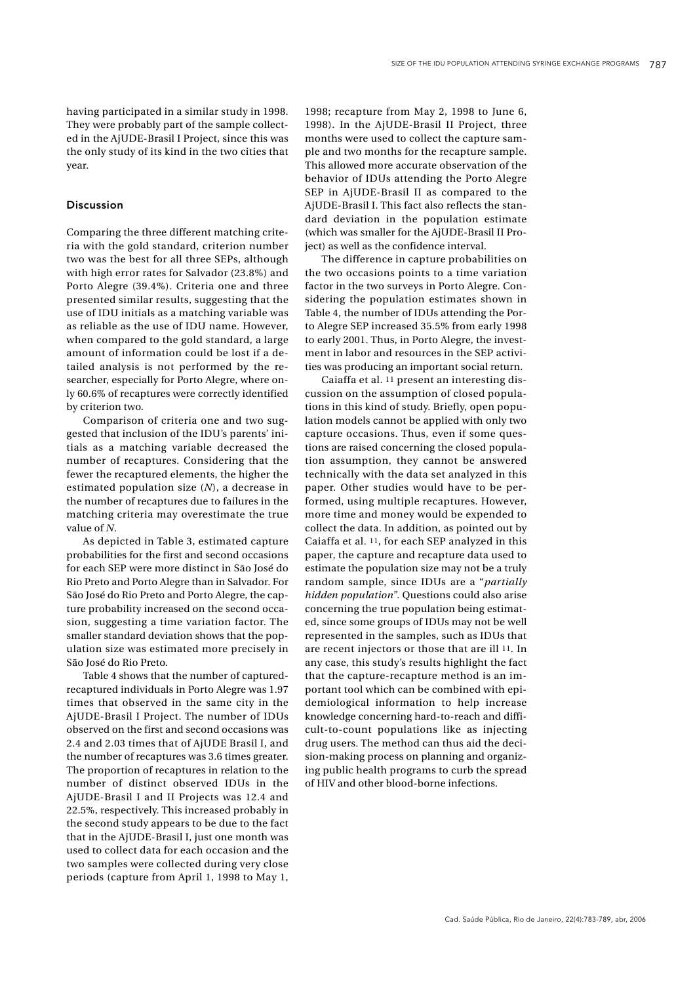having participated in a similar study in 1998. They were probably part of the sample collected in the AjUDE-Brasil I Project, since this was the only study of its kind in the two cities that year.

#### Discussion

Comparing the three different matching criteria with the gold standard, criterion number two was the best for all three SEPs, although with high error rates for Salvador (23.8%) and Porto Alegre (39.4%). Criteria one and three presented similar results, suggesting that the use of IDU initials as a matching variable was as reliable as the use of IDU name. However, when compared to the gold standard, a large amount of information could be lost if a detailed analysis is not performed by the researcher, especially for Porto Alegre, where only 60.6% of recaptures were correctly identified by criterion two.

Comparison of criteria one and two suggested that inclusion of the IDU's parents' initials as a matching variable decreased the number of recaptures. Considering that the fewer the recaptured elements, the higher the estimated population size (*N*), a decrease in the number of recaptures due to failures in the matching criteria may overestimate the true value of *N*.

As depicted in Table 3, estimated capture probabilities for the first and second occasions for each SEP were more distinct in São José do Rio Preto and Porto Alegre than in Salvador. For São José do Rio Preto and Porto Alegre, the capture probability increased on the second occasion, suggesting a time variation factor. The smaller standard deviation shows that the population size was estimated more precisely in São José do Rio Preto.

Table 4 shows that the number of capturedrecaptured individuals in Porto Alegre was 1.97 times that observed in the same city in the AjUDE-Brasil I Project. The number of IDUs observed on the first and second occasions was 2.4 and 2.03 times that of AjUDE Brasil I, and the number of recaptures was 3.6 times greater. The proportion of recaptures in relation to the number of distinct observed IDUs in the AjUDE-Brasil I and II Projects was 12.4 and 22.5%, respectively. This increased probably in the second study appears to be due to the fact that in the AjUDE-Brasil I, just one month was used to collect data for each occasion and the two samples were collected during very close periods (capture from April 1, 1998 to May 1,

1998; recapture from May 2, 1998 to June 6, 1998). In the AjUDE-Brasil II Project, three months were used to collect the capture sample and two months for the recapture sample. This allowed more accurate observation of the behavior of IDUs attending the Porto Alegre SEP in AjUDE-Brasil II as compared to the AjUDE-Brasil I. This fact also reflects the standard deviation in the population estimate (which was smaller for the AjUDE-Brasil II Project) as well as the confidence interval.

The difference in capture probabilities on the two occasions points to a time variation factor in the two surveys in Porto Alegre. Considering the population estimates shown in Table 4, the number of IDUs attending the Porto Alegre SEP increased 35.5% from early 1998 to early 2001. Thus, in Porto Alegre, the investment in labor and resources in the SEP activities was producing an important social return.

Caiaffa et al. 11 present an interesting discussion on the assumption of closed populations in this kind of study. Briefly, open population models cannot be applied with only two capture occasions. Thus, even if some questions are raised concerning the closed population assumption, they cannot be answered technically with the data set analyzed in this paper. Other studies would have to be performed, using multiple recaptures. However, more time and money would be expended to collect the data. In addition, as pointed out by Caiaffa et al. 11, for each SEP analyzed in this paper, the capture and recapture data used to estimate the population size may not be a truly random sample, since IDUs are a "*partially hidden population*". Questions could also arise concerning the true population being estimated, since some groups of IDUs may not be well represented in the samples, such as IDUs that are recent injectors or those that are ill 11. In any case, this study's results highlight the fact that the capture-recapture method is an important tool which can be combined with epidemiological information to help increase knowledge concerning hard-to-reach and difficult-to-count populations like as injecting drug users. The method can thus aid the decision-making process on planning and organizing public health programs to curb the spread of HIV and other blood-borne infections.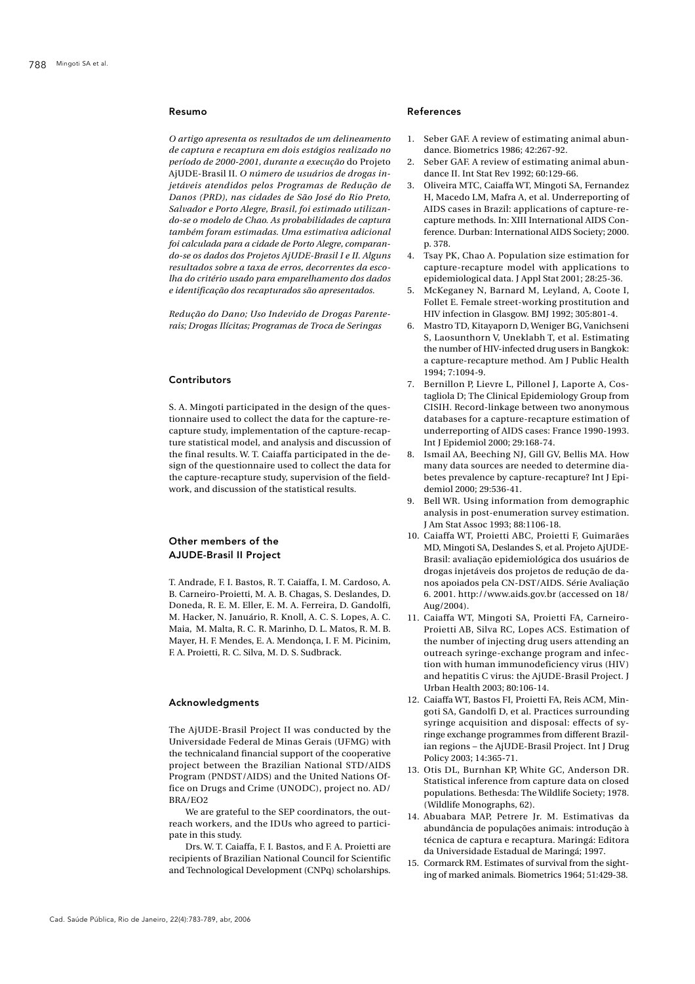#### Resumo

*O artigo apresenta os resultados de um delineamento de captura e recaptura em dois estágios realizado no período de 2000-2001, durante a execução* do Projeto AjUDE-Brasil II*. O número de usuários de drogas injetáveis atendidos pelos Programas de Redução de Danos (PRD), nas cidades de São José do Rio Preto, Salvador e Porto Alegre, Brasil, foi estimado utilizando-se o modelo de Chao. As probabilidades de captura também foram estimadas. Uma estimativa adicional foi calculada para a cidade de Porto Alegre, comparando-se os dados dos Projetos AjUDE-Brasil I e II. Alguns resultados sobre a taxa de erros, decorrentes da escolha do critério usado para emparelhamento dos dados e identificação dos recapturados são apresentados.*

*Redução do Dano; Uso Indevido de Drogas Parenterais; Drogas Ilícitas; Programas de Troca de Seringas*

## Contributors

S. A. Mingoti participated in the design of the questionnaire used to collect the data for the capture-recapture study, implementation of the capture-recapture statistical model, and analysis and discussion of the final results. W. T. Caiaffa participated in the design of the questionnaire used to collect the data for the capture-recapture study, supervision of the fieldwork, and discussion of the statistical results.

# Other members of the AJUDE-Brasil II Project

T. Andrade, F. I. Bastos, R. T. Caiaffa, I. M. Cardoso, A. B. Carneiro-Proietti, M. A. B. Chagas, S. Deslandes, D. Doneda, R. E. M. Eller, E. M. A. Ferreira, D. Gandolfi, M. Hacker, N. Januário, R. Knoll, A. C. S. Lopes, A. C. Maia, M. Malta, R. C. R. Marinho, D. L. Matos, R. M. B. Mayer, H. F. Mendes, E. A. Mendonça, I. F. M. Picinim, F. A. Proietti, R. C. Silva, M. D. S. Sudbrack.

#### Acknowledgments

The AjUDE-Brasil Project II was conducted by the Universidade Federal de Minas Gerais (UFMG) with the technicaland financial support of the cooperative project between the Brazilian National STD/AIDS Program (PNDST/AIDS) and the United Nations Office on Drugs and Crime (UNODC), project no. AD/ BRA/EO2

We are grateful to the SEP coordinators, the outreach workers, and the IDUs who agreed to participate in this study.

Drs. W. T. Caiaffa, F. I. Bastos, and F. A. Proietti are recipients of Brazilian National Council for Scientific and Technological Development (CNPq) scholarships.

#### References

- 1. Seber GAF. A review of estimating animal abundance. Biometrics 1986; 42:267-92.
- Seber GAF. A review of estimating animal abundance II. Int Stat Rev 1992; 60:129-66.
- 3. Oliveira MTC, Caiaffa WT, Mingoti SA, Fernandez H, Macedo LM, Mafra A, et al. Underreporting of AIDS cases in Brazil: applications of capture-recapture methods. In: XIII International AIDS Conference. Durban: International AIDS Society; 2000. p. 378.
- 4. Tsay PK, Chao A. Population size estimation for capture-recapture model with applications to epidemiological data. J Appl Stat 2001; 28:25-36.
- 5. McKeganey N, Barnard M, Leyland, A, Coote I, Follet E. Female street-working prostitution and HIV infection in Glasgow. BMJ 1992; 305:801-4.
- 6. Mastro TD, Kitayaporn D, Weniger BG, Vanichseni S, Laosunthorn V, Uneklabh T, et al. Estimating the number of HIV-infected drug users in Bangkok: a capture-recapture method. Am J Public Health 1994; 7:1094-9.
- Bernillon P, Lievre L, Pillonel J, Laporte A, Costagliola D; The Clinical Epidemiology Group from CISIH. Record-linkage between two anonymous databases for a capture-recapture estimation of underreporting of AIDS cases: France 1990-1993. Int J Epidemiol 2000; 29:168-74.
- 8. Ismail AA, Beeching NJ, Gill GV, Bellis MA. How many data sources are needed to determine diabetes prevalence by capture-recapture? Int J Epidemiol 2000; 29:536-41.
- 9. Bell WR. Using information from demographic analysis in post-enumeration survey estimation. J Am Stat Assoc 1993; 88:1106-18.
- 10. Caiaffa WT, Proietti ABC, Proietti F, Guimarães MD, Mingoti SA, Deslandes S, et al. Projeto AjUDE-Brasil: avaliação epidemiológica dos usuários de drogas injetáveis dos projetos de redução de danos apoiados pela CN-DST/AIDS. Série Avaliação 6. 2001. http://www.aids.gov.br (accessed on 18/ Aug/2004).
- 11. Caiaffa WT, Mingoti SA, Proietti FA, Carneiro-Proietti AB, Silva RC, Lopes ACS. Estimation of the number of injecting drug users attending an outreach syringe-exchange program and infection with human immunodeficiency virus (HIV) and hepatitis C virus: the AjUDE-Brasil Project. J Urban Health 2003; 80:106-14.
- 12. Caiaffa WT, Bastos FI, Proietti FA, Reis ACM, Mingoti SA, Gandolfi D, et al. Practices surrounding syringe acquisition and disposal: effects of syringe exchange programmes from different Brazilian regions – the AjUDE-Brasil Project. Int J Drug Policy 2003; 14:365-71.
- 13. Otis DL, Burnhan KP, White GC, Anderson DR. Statistical inference from capture data on closed populations. Bethesda: The Wildlife Society; 1978. (Wildlife Monographs, 62).
- 14. Abuabara MAP, Petrere Jr. M. Estimativas da abundância de populações animais: introdução à técnica de captura e recaptura. Maringá: Editora da Universidade Estadual de Maringá; 1997.
- 15. Cormarck RM. Estimates of survival from the sighting of marked animals. Biometrics 1964; 51:429-38.